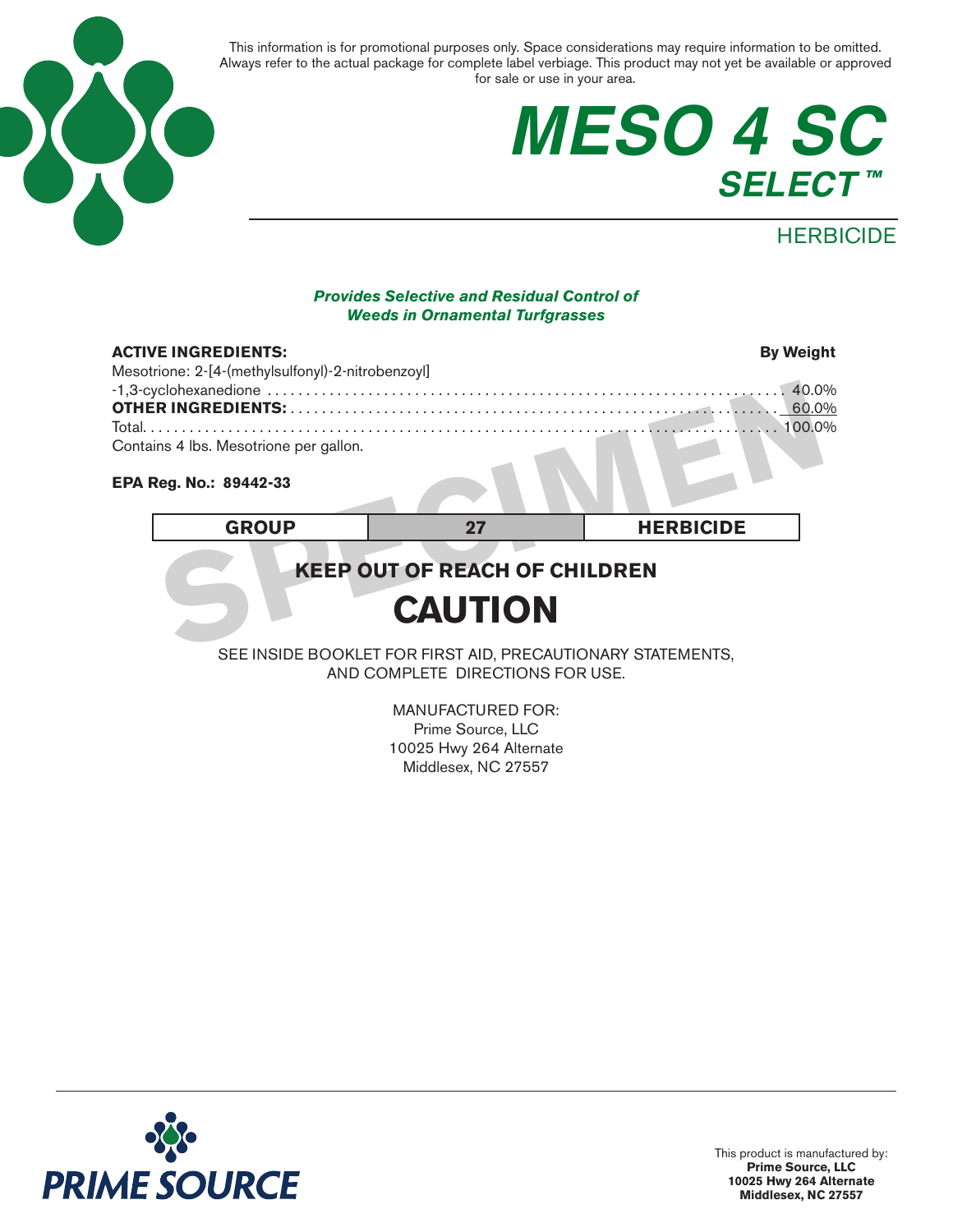

## **MESO 4 SC SELECT ™**

### **HERBICIDE**

#### *Provides Selective and Residual Control of Weeds in Ornamental Turfgrasses*

| <b>ACTIVE INGREDIENTS:</b><br>Mesotrione: 2-[4-(methylsulfonyl)-2-nitrobenzoyl] |    | <b>By Weight</b> |
|---------------------------------------------------------------------------------|----|------------------|
| Contains 4 lbs. Mesotrione per gallon.                                          |    |                  |
| EPA Reg. No.: 89442-33                                                          |    |                  |
| <b>GROUP</b>                                                                    | 27 | <b>HERBICIDE</b> |
| <b>KEEP OUT OF REACH OF CHILDREN</b><br><b>CAUTION</b>                          |    |                  |

#### **EPA Reg. No.: 89442-33**

## **KEEP OUT OF REACH OF CHILDREN**

## **CAUTION**

SEE INSIDE BOOKLET FOR FIRST AID, PRECAUTIONARY STATEMENTS, AND COMPLETE DIRECTIONS FOR USE.

> MANUFACTURED FOR: Prime Source, LLC 10025 Hwy 264 Alternate Middlesex, NC 27557

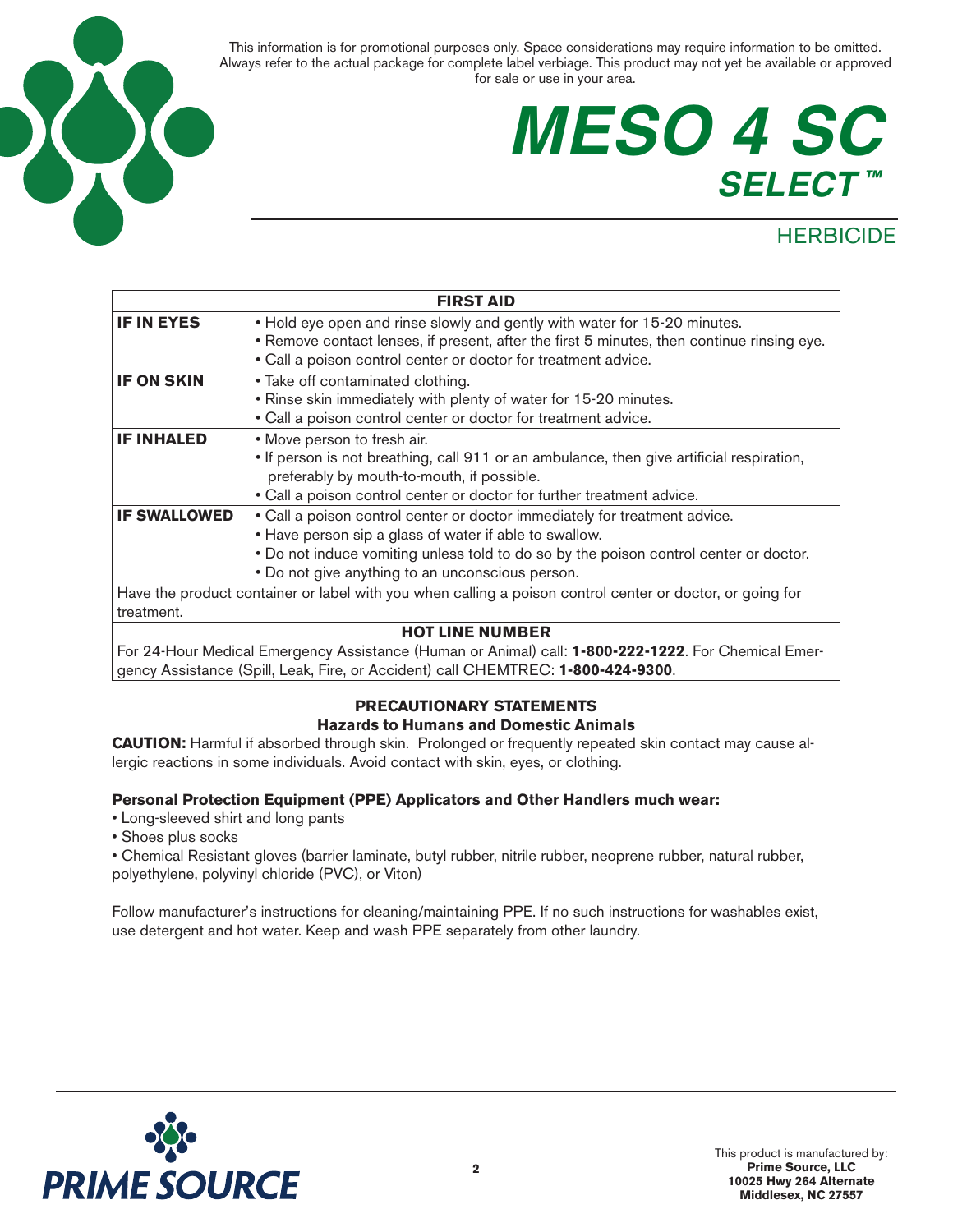

## **MESO 4 SC SELECT ™**

## **HERBICIDE**

| <b>FIRST AID</b>                                                                                          |                                                                                                                                                                                                                                                                                   |  |
|-----------------------------------------------------------------------------------------------------------|-----------------------------------------------------------------------------------------------------------------------------------------------------------------------------------------------------------------------------------------------------------------------------------|--|
| <b>IF IN EYES</b>                                                                                         | . Hold eye open and rinse slowly and gently with water for 15-20 minutes.<br>• Remove contact lenses, if present, after the first 5 minutes, then continue rinsing eye.                                                                                                           |  |
|                                                                                                           | • Call a poison control center or doctor for treatment advice.                                                                                                                                                                                                                    |  |
| <b>IF ON SKIN</b>                                                                                         | • Take off contaminated clothing.                                                                                                                                                                                                                                                 |  |
|                                                                                                           | . Rinse skin immediately with plenty of water for 15-20 minutes.                                                                                                                                                                                                                  |  |
|                                                                                                           | • Call a poison control center or doctor for treatment advice.                                                                                                                                                                                                                    |  |
| <b>IF INHALED</b>                                                                                         | • Move person to fresh air.<br>• If person is not breathing, call 911 or an ambulance, then give artificial respiration,<br>preferably by mouth-to-mouth, if possible.<br>• Call a poison control center or doctor for further treatment advice.                                  |  |
| <b>IF SWALLOWED</b>                                                                                       | • Call a poison control center or doctor immediately for treatment advice.<br>• Have person sip a glass of water if able to swallow.<br>• Do not induce vomiting unless told to do so by the poison control center or doctor.<br>. Do not give anything to an unconscious person. |  |
| Have the product container or label with you when calling a poison control center or doctor, or going for |                                                                                                                                                                                                                                                                                   |  |
| treatment.                                                                                                |                                                                                                                                                                                                                                                                                   |  |

#### **HOT LINE NUMBER**

For 24-Hour Medical Emergency Assistance (Human or Animal) call: **1-800-222-1222**. For Chemical Emergency Assistance (Spill, Leak, Fire, or Accident) call CHEMTREC: **1-800-424-9300**.

#### **PRECAUTIONARY STATEMENTS**

#### **Hazards to Humans and Domestic Animals**

**CAUTION:** Harmful if absorbed through skin. Prolonged or frequently repeated skin contact may cause allergic reactions in some individuals. Avoid contact with skin, eyes, or clothing.

#### **Personal Protection Equipment (PPE) Applicators and Other Handlers much wear:**

- Long-sleeved shirt and long pants
- Shoes plus socks
- Chemical Resistant gloves (barrier laminate, butyl rubber, nitrile rubber, neoprene rubber, natural rubber, polyethylene, polyvinyl chloride (PVC), or Viton)

Follow manufacturer's instructions for cleaning/maintaining PPE. If no such instructions for washables exist, use detergent and hot water. Keep and wash PPE separately from other laundry.

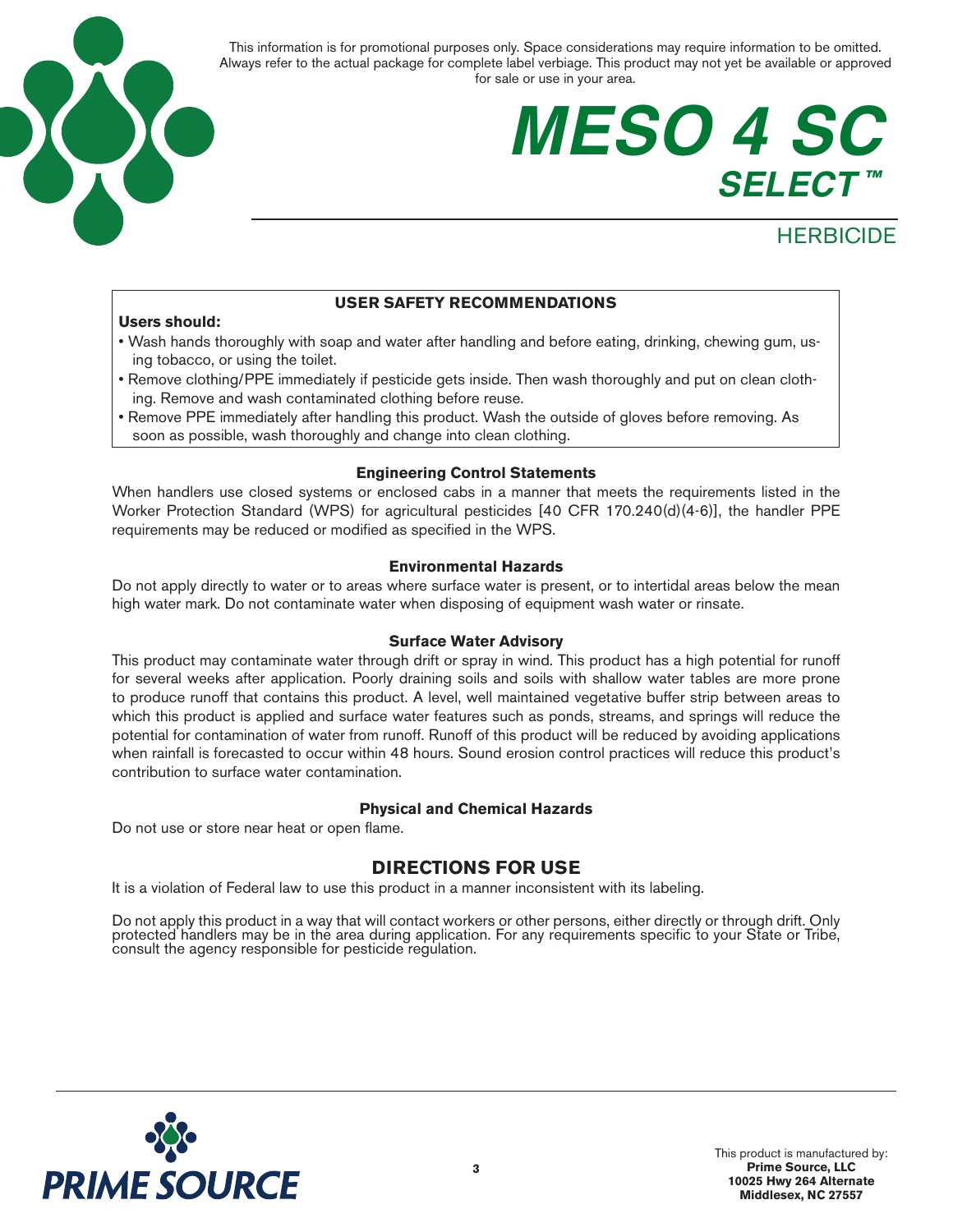

## **MESO 4 SC SELECT ™**

## **HERBICIDE**

#### **USER SAFETY RECOMMENDATIONS**

#### **Users should:**

- Wash hands thoroughly with soap and water after handling and before eating, drinking, chewing gum, using tobacco, or using the toilet.
- Remove clothing/PPE immediately if pesticide gets inside. Then wash thoroughly and put on clean clothing. Remove and wash contaminated clothing before reuse.
- Remove PPE immediately after handling this product. Wash the outside of gloves before removing. As soon as possible, wash thoroughly and change into clean clothing.

#### **Engineering Control Statements**

When handlers use closed systems or enclosed cabs in a manner that meets the requirements listed in the Worker Protection Standard (WPS) for agricultural pesticides [40 CFR 170.240(d)(4-6)], the handler PPE requirements may be reduced or modified as specified in the WPS.

#### **Environmental Hazards**

Do not apply directly to water or to areas where surface water is present, or to intertidal areas below the mean high water mark. Do not contaminate water when disposing of equipment wash water or rinsate.

#### **Surface Water Advisory**

This product may contaminate water through drift or spray in wind. This product has a high potential for runoff for several weeks after application. Poorly draining soils and soils with shallow water tables are more prone to produce runoff that contains this product. A level, well maintained vegetative buffer strip between areas to which this product is applied and surface water features such as ponds, streams, and springs will reduce the potential for contamination of water from runoff. Runoff of this product will be reduced by avoiding applications when rainfall is forecasted to occur within 48 hours. Sound erosion control practices will reduce this product's contribution to surface water contamination.

#### **Physical and Chemical Hazards**

Do not use or store near heat or open flame.

#### **DIRECTIONS FOR USE**

It is a violation of Federal law to use this product in a manner inconsistent with its labeling.

Do not apply this product in a way that will contact workers or other persons, either directly or through drift. Only protected handlers may be in the area during application. For any requirements specific to your State or

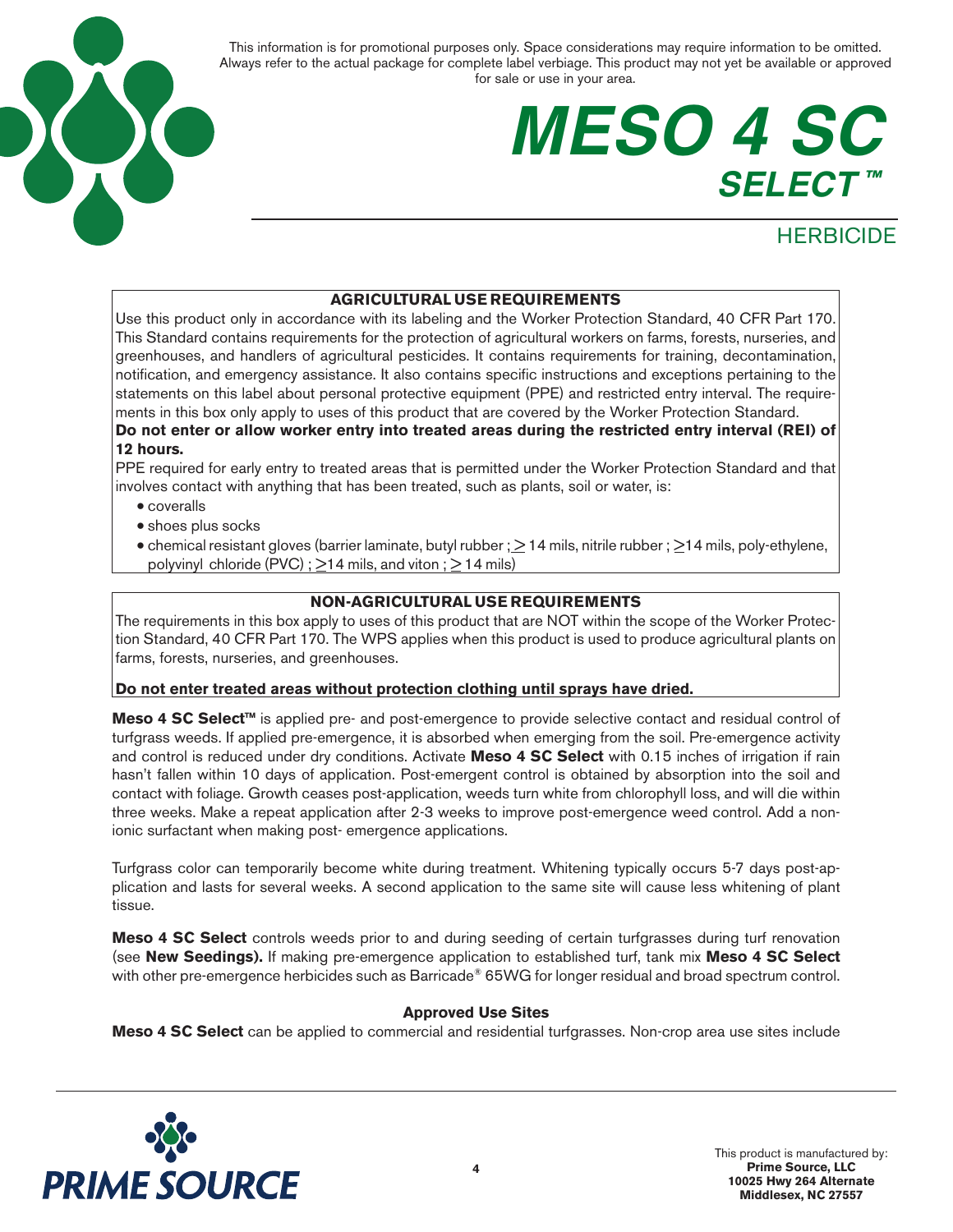

## **MESO 4 SC SELECT ™**

### **HERBICIDE**

#### **AGRICULTURAL USE REQUIREMENTS**

Use this product only in accordance with its labeling and the Worker Protection Standard, 40 CFR Part 170. This Standard contains requirements for the protection of agricultural workers on farms, forests, nurseries, and greenhouses, and handlers of agricultural pesticides. It contains requirements for training, decontamination, notification, and emergency assistance. It also contains specific instructions and exceptions pertaining to the statements on this label about personal protective equipment (PPE) and restricted entry interval. The requirements in this box only apply to uses of this product that are covered by the Worker Protection Standard.

#### **Do not enter or allow worker entry into treated areas during the restricted entry interval (REI) of 12 hours.**

PPE required for early entry to treated areas that is permitted under the Worker Protection Standard and that involves contact with anything that has been treated, such as plants, soil or water, is:

- coveralls
- shoes plus socks
- chemical resistant gloves (barrier laminate, butyl rubber ;  $\geq$  14 mils, nitrile rubber ;  $\geq$  14 mils, poly-ethylene, polyvinyl chloride (PVC) ;  $\geq$ 14 mils, and viton ;  $\geq$  14 mils)

#### **NON-AGRICULTURAL USE REQUIREMENTS**

The requirements in this box apply to uses of this product that are NOT within the scope of the Worker Protection Standard, 40 CFR Part 170. The WPS applies when this product is used to produce agricultural plants on farms, forests, nurseries, and greenhouses.

#### **Do not enter treated areas without protection clothing until sprays have dried.**

**Meso 4 SC Select™** is applied pre- and post-emergence to provide selective contact and residual control of turfgrass weeds. If applied pre-emergence, it is absorbed when emerging from the soil. Pre-emergence activity and control is reduced under dry conditions. Activate **Meso 4 SC Select** with 0.15 inches of irrigation if rain hasn't fallen within 10 days of application. Post-emergent control is obtained by absorption into the soil and contact with foliage. Growth ceases post-application, weeds turn white from chlorophyll loss, and will die within three weeks. Make a repeat application after 2-3 weeks to improve post-emergence weed control. Add a nonionic surfactant when making post- emergence applications.

Turfgrass color can temporarily become white during treatment. Whitening typically occurs 5-7 days post-application and lasts for several weeks. A second application to the same site will cause less whitening of plant tissue.

**Meso 4 SC Select** controls weeds prior to and during seeding of certain turfgrasses during turf renovation (see **New Seedings).** If making pre-emergence application to established turf, tank mix **Meso 4 SC Select**  with other pre-emergence herbicides such as Barricade® 65WG for longer residual and broad spectrum control.

#### **Approved Use Sites**

**Meso 4 SC Select** can be applied to commercial and residential turfgrasses. Non-crop area use sites include

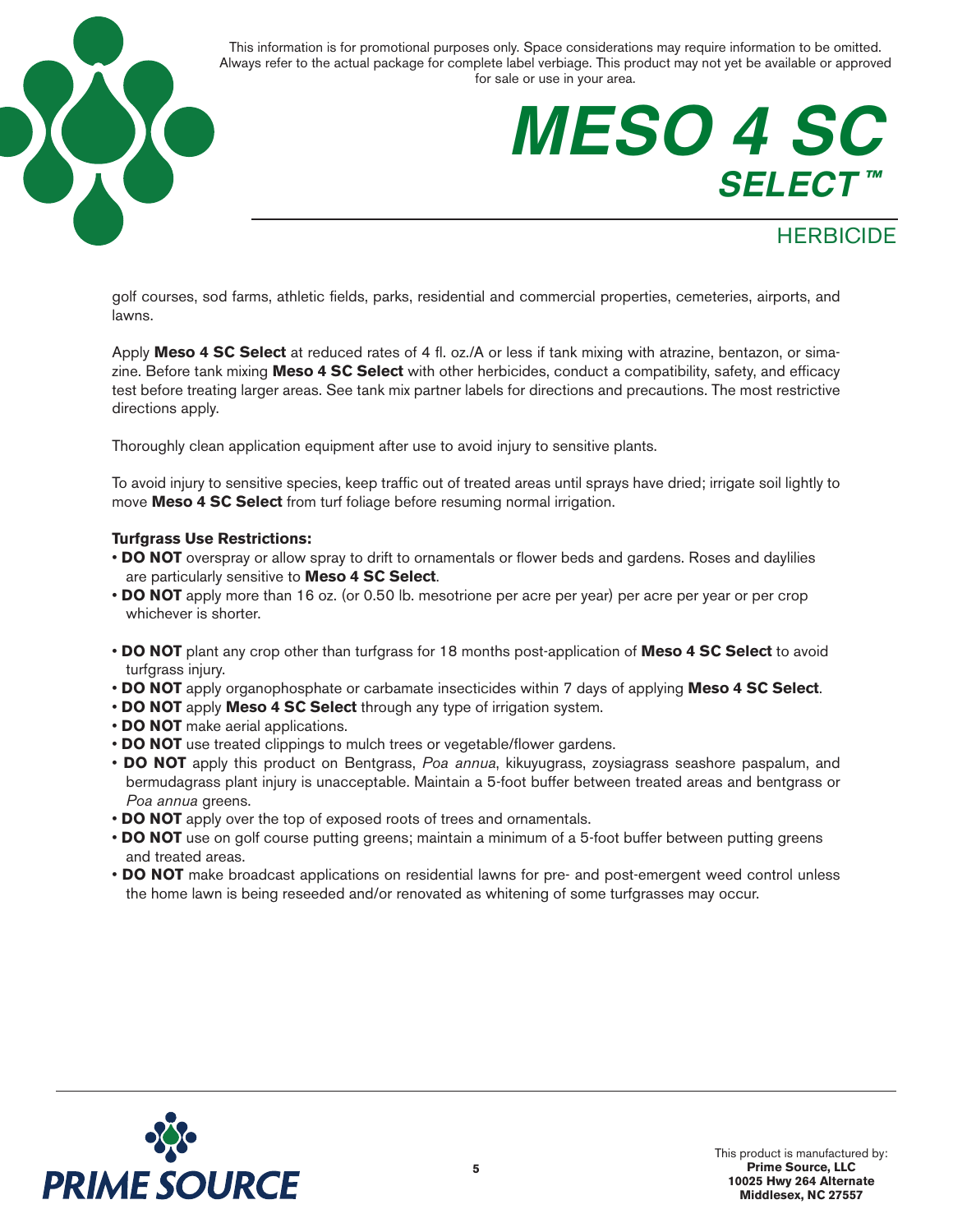

## **MESO 4 SC SELECT ™**

### **HERBICIDE**

golf courses, sod farms, athletic fields, parks, residential and commercial properties, cemeteries, airports, and lawns.

Apply **Meso 4 SC Select** at reduced rates of 4 fl. oz./A or less if tank mixing with atrazine, bentazon, or simazine. Before tank mixing **Meso 4 SC Select** with other herbicides, conduct a compatibility, safety, and efficacy test before treating larger areas. See tank mix partner labels for directions and precautions. The most restrictive directions apply.

Thoroughly clean application equipment after use to avoid injury to sensitive plants.

To avoid injury to sensitive species, keep traffic out of treated areas until sprays have dried; irrigate soil lightly to move **Meso 4 SC Select** from turf foliage before resuming normal irrigation.

#### **Turfgrass Use Restrictions:**

- **DO NOT** overspray or allow spray to drift to ornamentals or flower beds and gardens. Roses and daylilies are particularly sensitive to **Meso 4 SC Select**.
- **DO NOT** apply more than 16 oz. (or 0.50 lb. mesotrione per acre per year) per acre per year or per crop whichever is shorter.
- **DO NOT** plant any crop other than turfgrass for 18 months post-application of **Meso 4 SC Select** to avoid turfgrass injury.
- **DO NOT** apply organophosphate or carbamate insecticides within 7 days of applying **Meso 4 SC Select**.
- **DO NOT** apply **Meso 4 SC Select** through any type of irrigation system.
- **DO NOT** make aerial applications.
- **DO NOT** use treated clippings to mulch trees or vegetable/flower gardens.
- **DO NOT** apply this product on Bentgrass, *Poa annua*, kikuyugrass, zoysiagrass seashore paspalum, and bermudagrass plant injury is unacceptable. Maintain a 5-foot buffer between treated areas and bentgrass or *Poa annua* greens.
- **DO NOT** apply over the top of exposed roots of trees and ornamentals.
- **DO NOT** use on golf course putting greens; maintain a minimum of a 5-foot buffer between putting greens and treated areas.
- **DO NOT** make broadcast applications on residential lawns for pre- and post-emergent weed control unless the home lawn is being reseeded and/or renovated as whitening of some turfgrasses may occur.

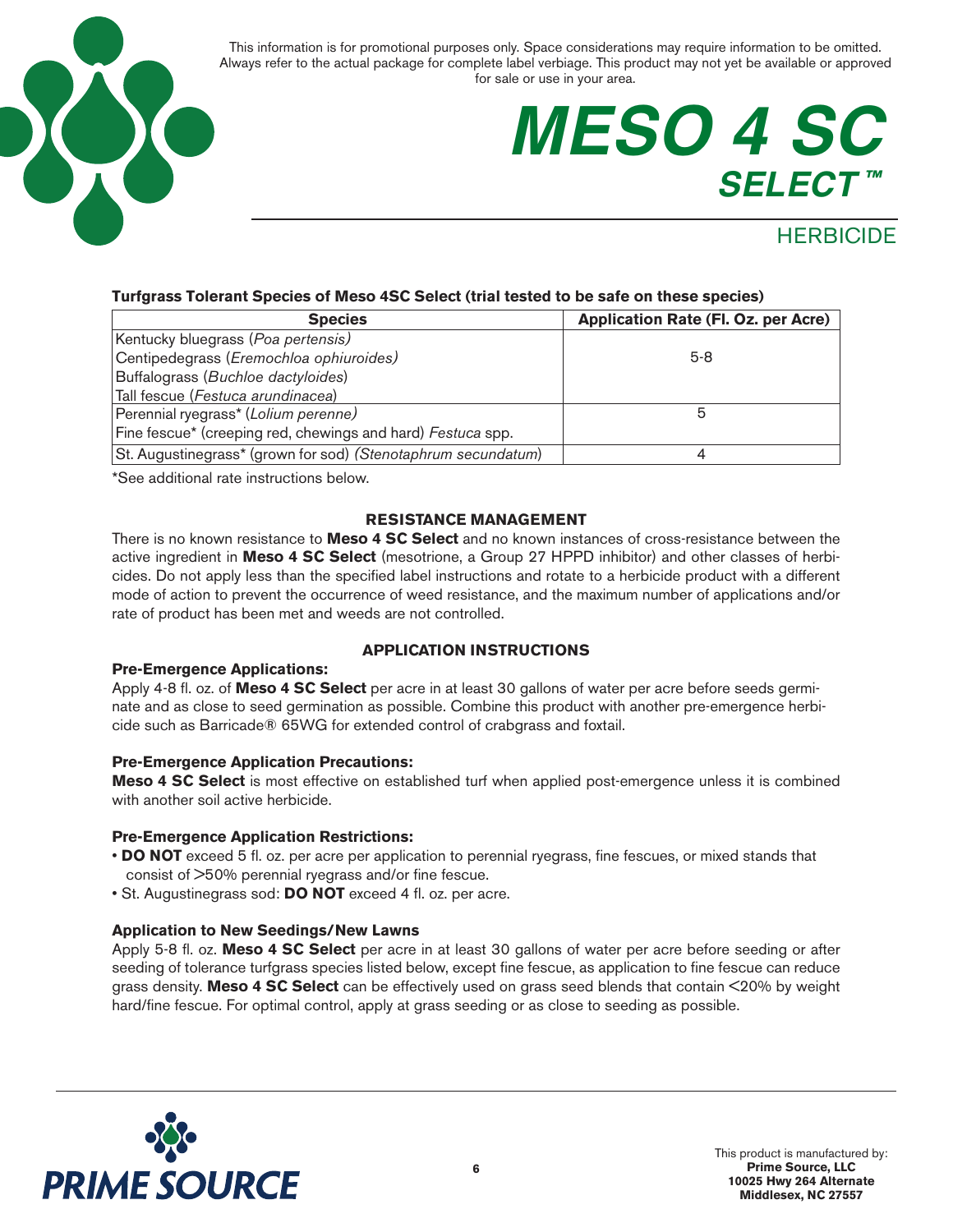

## **MESO 4 SC SELECT ™**

### **HERBICIDE**

#### **Turfgrass Tolerant Species of Meso 4SC Select (trial tested to be safe on these species)**

| <b>Species</b>                                                | Application Rate (Fl. Oz. per Acre) |
|---------------------------------------------------------------|-------------------------------------|
| Kentucky bluegrass (Poa pertensis)                            |                                     |
| Centipedegrass (Eremochloa ophiuroides)                       | $5-8$                               |
| Buffalograss (Buchloe dactyloides)                            |                                     |
| Tall fescue (Festuca arundinacea)                             |                                     |
| Perennial ryegrass* (Lolium perenne)                          |                                     |
| Fine fescue* (creeping red, chewings and hard) Festuca spp.   |                                     |
| St. Augustinegrass* (grown for sod) (Stenotaphrum secundatum) |                                     |

\*See additional rate instructions below.

#### **RESISTANCE MANAGEMENT**

There is no known resistance to **Meso 4 SC Select** and no known instances of cross-resistance between the active ingredient in **Meso 4 SC Select** (mesotrione, a Group 27 HPPD inhibitor) and other classes of herbicides. Do not apply less than the specified label instructions and rotate to a herbicide product with a different mode of action to prevent the occurrence of weed resistance, and the maximum number of applications and/or rate of product has been met and weeds are not controlled.

#### **Pre-Emergence Applications:**

#### **APPLICATION INSTRUCTIONS**

Apply 4-8 fl. oz. of **Meso 4 SC Select** per acre in at least 30 gallons of water per acre before seeds germinate and as close to seed germination as possible. Combine this product with another pre-emergence herbicide such as Barricade® 65WG for extended control of crabgrass and foxtail.

#### **Pre-Emergence Application Precautions:**

**Meso 4 SC Select** is most effective on established turf when applied post-emergence unless it is combined with another soil active herbicide.

#### **Pre-Emergence Application Restrictions:**

- **DO NOT** exceed 5 fl. oz. per acre per application to perennial ryegrass, fine fescues, or mixed stands that consist of >50% perennial ryegrass and/or fine fescue.
- St. Augustinegrass sod: **DO NOT** exceed 4 fl. oz. per acre.

#### **Application to New Seedings/New Lawns**

Apply 5-8 fl. oz. **Meso 4 SC Select** per acre in at least 30 gallons of water per acre before seeding or after seeding of tolerance turfgrass species listed below, except fine fescue, as application to fine fescue can reduce grass density. **Meso 4 SC Select** can be effectively used on grass seed blends that contain <20% by weight hard/fine fescue. For optimal control, apply at grass seeding or as close to seeding as possible.

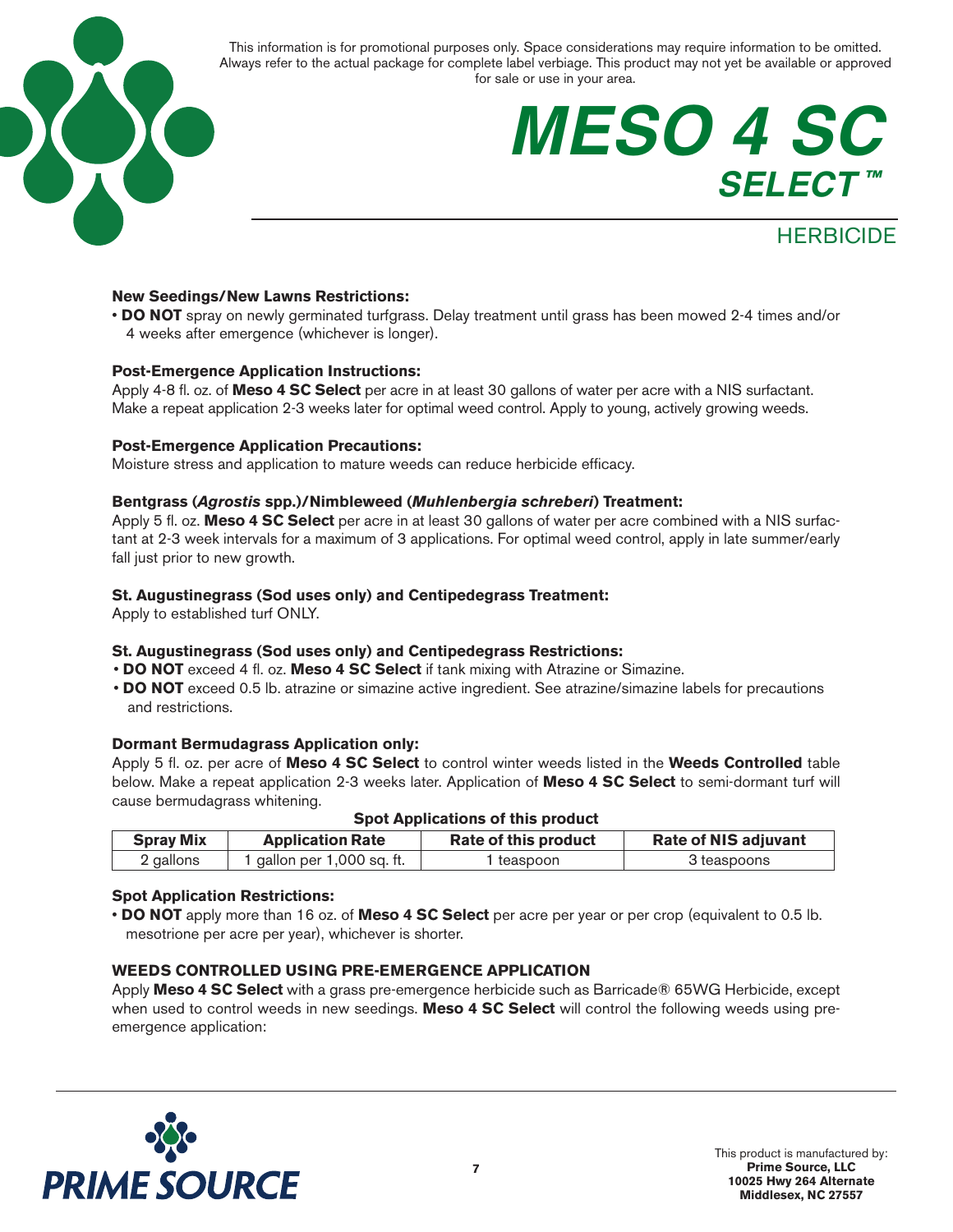

## **MESO 4 SC SELECT ™**

### **HERBICIDE**

#### **New Seedings/New Lawns Restrictions:**

• **DO NOT** spray on newly germinated turfgrass. Delay treatment until grass has been mowed 2-4 times and/or 4 weeks after emergence (whichever is longer).

#### **Post-Emergence Application Instructions:**

Apply 4-8 fl. oz. of **Meso 4 SC Select** per acre in at least 30 gallons of water per acre with a NIS surfactant. Make a repeat application 2-3 weeks later for optimal weed control. Apply to young, actively growing weeds.

#### **Post-Emergence Application Precautions:**

Moisture stress and application to mature weeds can reduce herbicide efficacy.

#### **Bentgrass (***Agrostis* **spp.)/Nimbleweed (***Muhlenbergia schreberi***) Treatment:**

Apply 5 fl. oz. **Meso 4 SC Select** per acre in at least 30 gallons of water per acre combined with a NIS surfactant at 2-3 week intervals for a maximum of 3 applications. For optimal weed control, apply in late summer/early fall just prior to new growth.

#### **St. Augustinegrass (Sod uses only) and Centipedegrass Treatment:**

Apply to established turf ONLY.

#### **St. Augustinegrass (Sod uses only) and Centipedegrass Restrictions:**

- **DO NOT** exceed 4 fl. oz. **Meso 4 SC Select** if tank mixing with Atrazine or Simazine.
- **DO NOT** exceed 0.5 lb. atrazine or simazine active ingredient. See atrazine/simazine labels for precautions and restrictions.

#### **Dormant Bermudagrass Application only:**

Apply 5 fl. oz. per acre of **Meso 4 SC Select** to control winter weeds listed in the **Weeds Controlled** table below. Make a repeat application 2-3 weeks later. Application of **Meso 4 SC Select** to semi-dormant turf will cause bermudagrass whitening.

#### **Spot Applications of this product**

| <b>Spray Mix</b> | <b>Application Rate</b>  | Rate of this product | <b>Rate of NIS adjuvant</b> |
|------------------|--------------------------|----------------------|-----------------------------|
| 2 gallons        | gallon per 1,000 sq. ft. | teaspoon             | 3 teaspoons                 |

#### **Spot Application Restrictions:**

• **DO NOT** apply more than 16 oz. of **Meso 4 SC Select** per acre per year or per crop (equivalent to 0.5 lb. mesotrione per acre per year), whichever is shorter.

#### **WEEDS CONTROLLED USING PRE-EMERGENCE APPLICATION**

Apply **Meso 4 SC Select** with a grass pre-emergence herbicide such as Barricade® 65WG Herbicide, except when used to control weeds in new seedings. **Meso 4 SC Select** will control the following weeds using preemergence application:

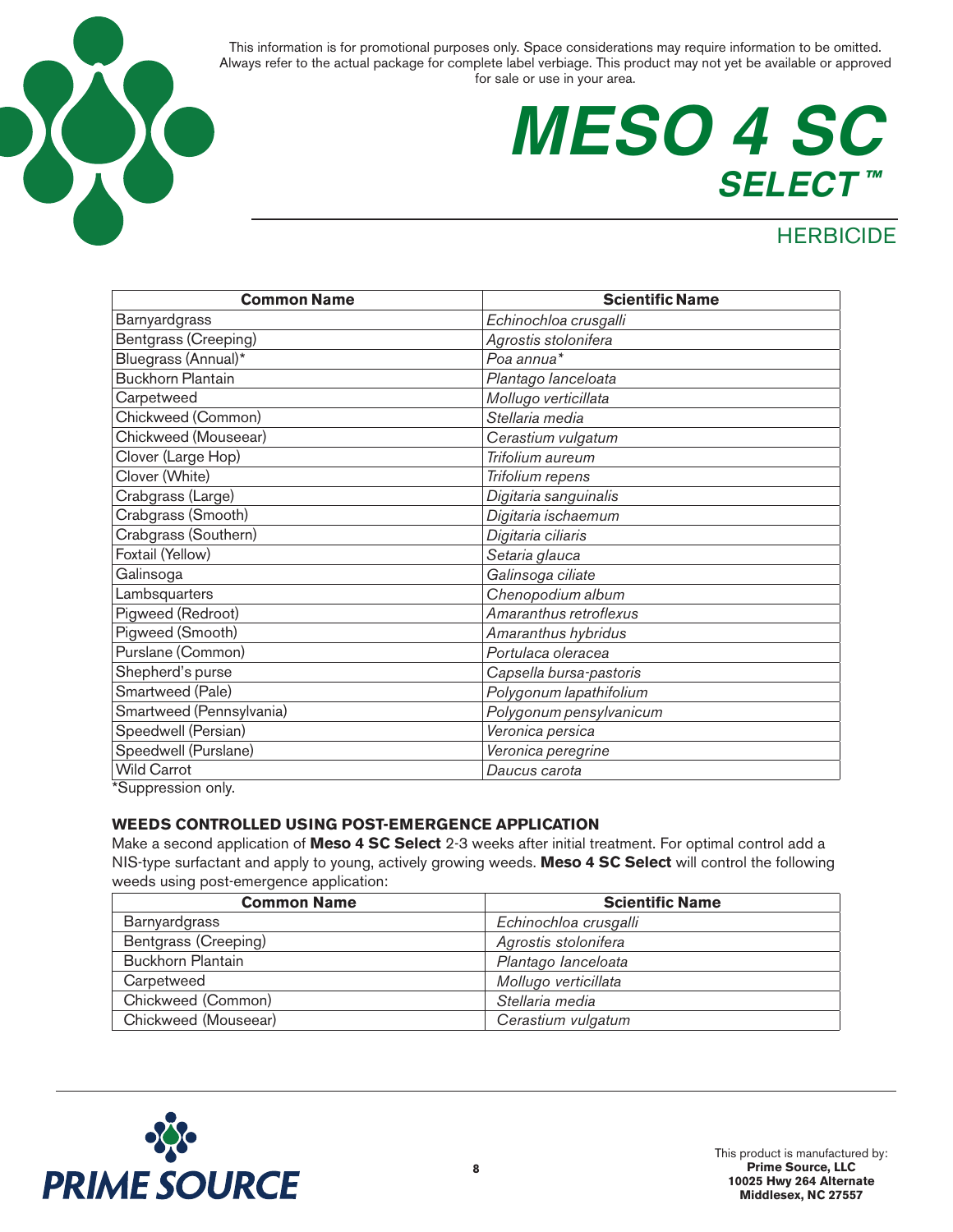

## **MESO 4 SC SELECT ™**

### **HERBICIDE**

| <b>Common Name</b>       | <b>Scientific Name</b>  |
|--------------------------|-------------------------|
| Barnyardgrass            | Echinochloa crusgalli   |
| Bentgrass (Creeping)     | Agrostis stolonifera    |
| Bluegrass (Annual)*      | Poa annua <sup>*</sup>  |
| <b>Buckhorn Plantain</b> | Plantago lanceloata     |
| Carpetweed               | Mollugo verticillata    |
| Chickweed (Common)       | Stellaria media         |
| Chickweed (Mouseear)     | Cerastium vulgatum      |
| Clover (Large Hop)       | Trifolium aureum        |
| Clover (White)           | Trifolium repens        |
| Crabgrass (Large)        | Digitaria sanguinalis   |
| Crabgrass (Smooth)       | Digitaria ischaemum     |
| Crabgrass (Southern)     | Digitaria ciliaris      |
| Foxtail (Yellow)         | Setaria glauca          |
| Galinsoga                | Galinsoga ciliate       |
| Lambsquarters            | Chenopodium album       |
| Pigweed (Redroot)        | Amaranthus retroflexus  |
| Pigweed (Smooth)         | Amaranthus hybridus     |
| Purslane (Common)        | Portulaca oleracea      |
| Shepherd's purse         | Capsella bursa-pastoris |
| Smartweed (Pale)         | Polygonum lapathifolium |
| Smartweed (Pennsylvania) | Polygonum pensylvanicum |
| Speedwell (Persian)      | Veronica persica        |
| Speedwell (Purslane)     | Veronica peregrine      |
| <b>Wild Carrot</b>       | Daucus carota           |
| $\mathbf{L}$             |                         |

\*Suppression only.

#### **WEEDS CONTROLLED USING POST-EMERGENCE APPLICATION**

Make a second application of **Meso 4 SC Select** 2-3 weeks after initial treatment. For optimal control add a NIS-type surfactant and apply to young, actively growing weeds. **Meso 4 SC Select** will control the following weeds using post-emergence application:

| <b>Common Name</b>       | <b>Scientific Name</b> |
|--------------------------|------------------------|
| <b>Barnyardgrass</b>     | Echinochloa crusgalli  |
| Bentgrass (Creeping)     | Agrostis stolonifera   |
| <b>Buckhorn Plantain</b> | Plantago lanceloata    |
| Carpetweed               | Mollugo verticillata   |
| Chickweed (Common)       | Stellaria media        |
| Chickweed (Mouseear)     | Cerastium vulgatum     |

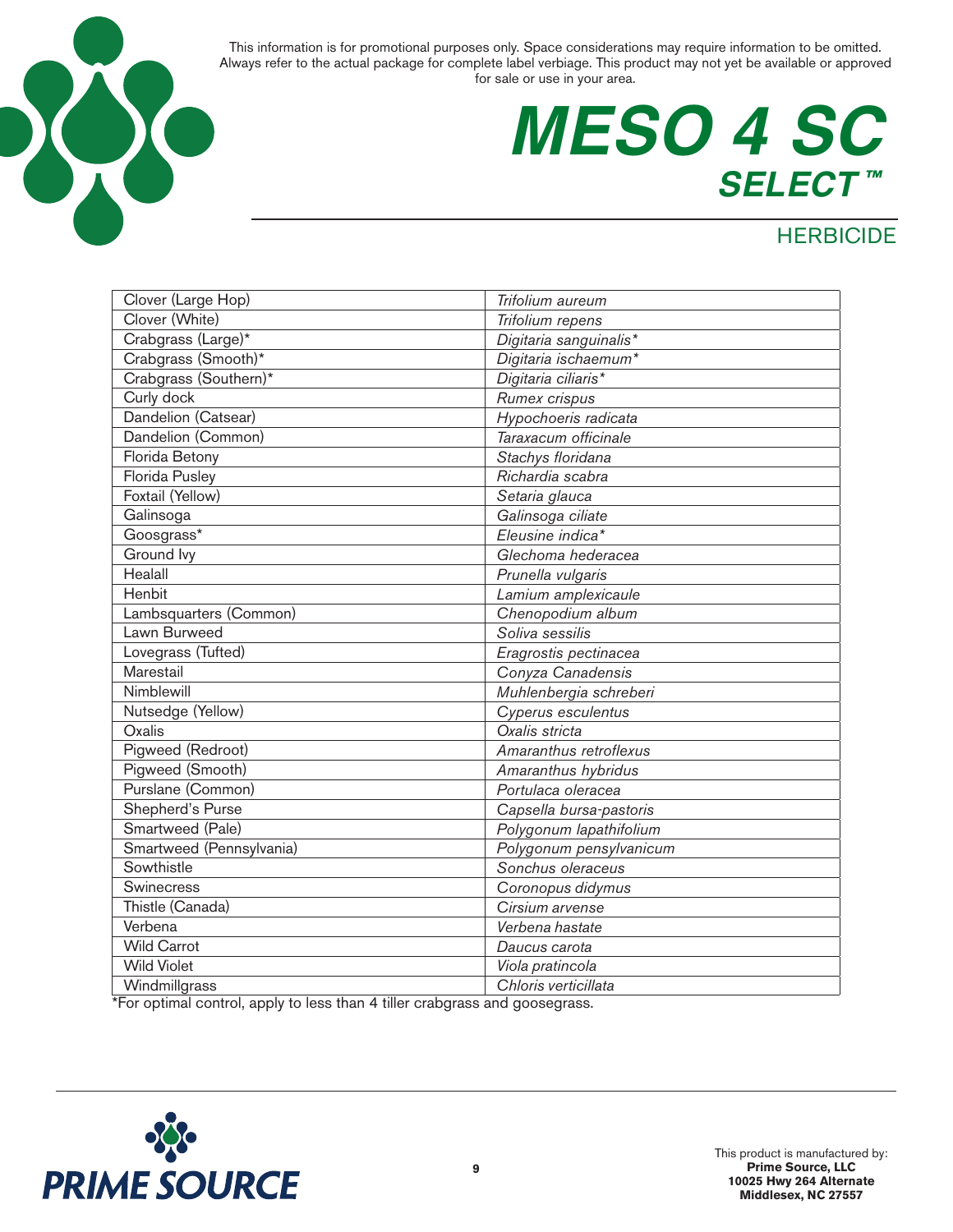

# **MESO 4 SC SELECT ™**

### **HERBICIDE**

| Clover (Large Hop)       | Trifolium aureum        |
|--------------------------|-------------------------|
| Clover (White)           | Trifolium repens        |
| Crabgrass (Large)*       | Digitaria sanguinalis*  |
| Crabgrass (Smooth)*      | Digitaria ischaemum*    |
| Crabgrass (Southern)*    | Digitaria ciliaris*     |
| Curly dock               | Rumex crispus           |
| Dandelion (Catsear)      | Hypochoeris radicata    |
| Dandelion (Common)       | Taraxacum officinale    |
| Florida Betony           | Stachys floridana       |
| Florida Pusley           | Richardia scabra        |
| Foxtail (Yellow)         | Setaria glauca          |
| Galinsoga                | Galinsoga ciliate       |
| Goosgrass*               | Eleusine indica*        |
| Ground lvy               | Glechoma hederacea      |
| Healall                  | Prunella vulgaris       |
| Henbit                   | Lamium amplexicaule     |
| Lambsquarters (Common)   | Chenopodium album       |
| Lawn Burweed             | Soliva sessilis         |
| Lovegrass (Tufted)       | Eragrostis pectinacea   |
| Marestail                | Conyza Canadensis       |
| Nimblewill               | Muhlenbergia schreberi  |
| Nutsedge (Yellow)        | Cyperus esculentus      |
| Oxalis                   | Oxalis stricta          |
| Pigweed (Redroot)        | Amaranthus retroflexus  |
| Pigweed (Smooth)         | Amaranthus hybridus     |
| Purslane (Common)        | Portulaca oleracea      |
| Shepherd's Purse         | Capsella bursa-pastoris |
| Smartweed (Pale)         | Polygonum lapathifolium |
| Smartweed (Pennsylvania) | Polygonum pensylvanicum |
| Sowthistle               | Sonchus oleraceus       |
| Swinecress               | Coronopus didymus       |
| Thistle (Canada)         | Cirsium arvense         |
| Verbena                  | Verbena hastate         |
| <b>Wild Carrot</b>       | Daucus carota           |
| <b>Wild Violet</b>       | Viola pratincola        |
| Windmillgrass            | Chloris verticillata    |
|                          |                         |

\*For optimal control, apply to less than 4 tiller crabgrass and goosegrass.

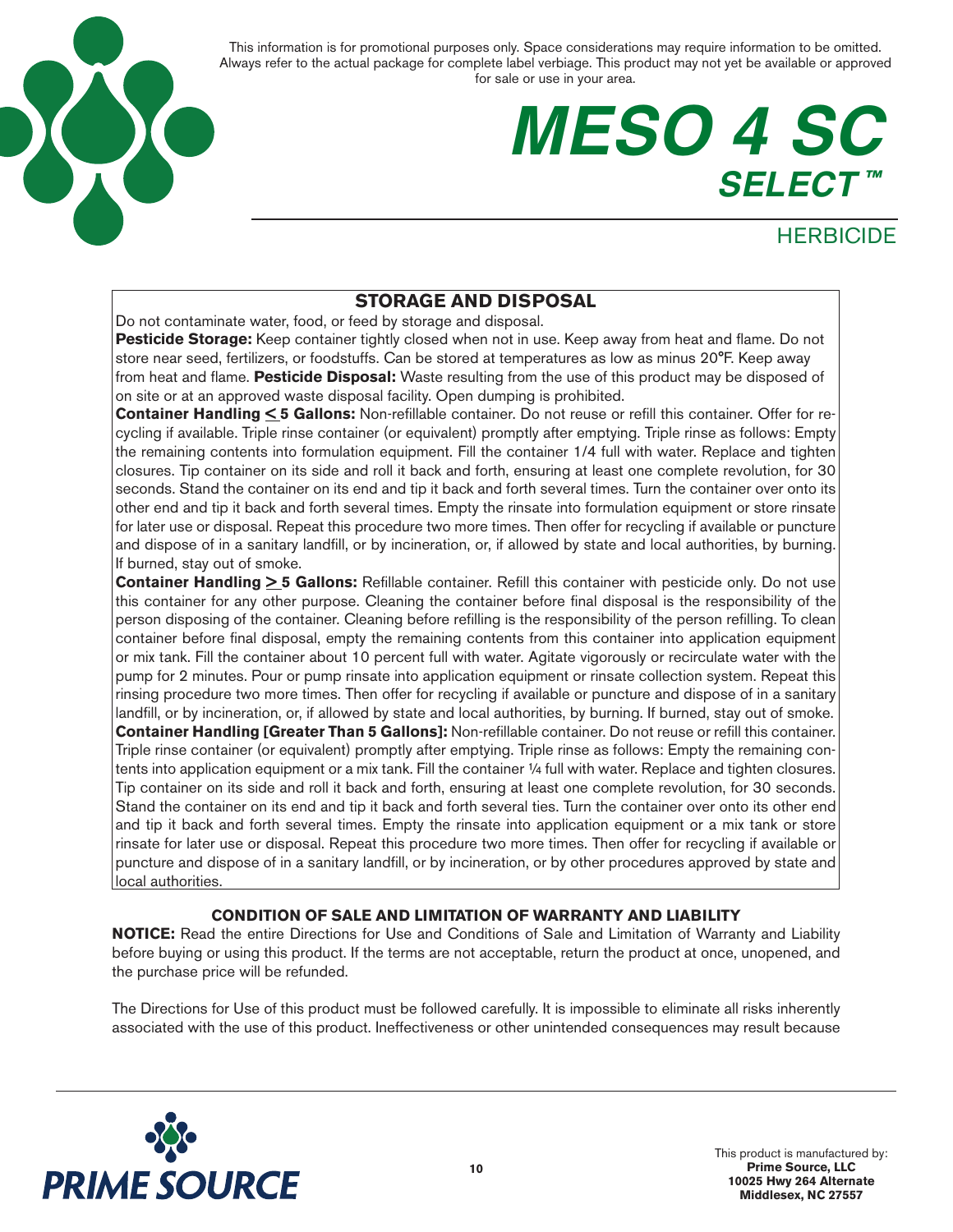

## **MESO 4 SC SELECT ™**

### **HERBICIDE**

### **STORAGE AND DISPOSAL**

Do not contaminate water, food, or feed by storage and disposal.

**Pesticide Storage:** Keep container tightly closed when not in use. Keep away from heat and flame. Do not store near seed, fertilizers, or foodstuffs. Can be stored at temperatures as low as minus 20°F. Keep away from heat and flame. **Pesticide Disposal:** Waste resulting from the use of this product may be disposed of on site or at an approved waste disposal facility. Open dumping is prohibited.

**Container Handling < 5 Gallons:** Non-refillable container. Do not reuse or refill this container. Offer for recycling if available. Triple rinse container (or equivalent) promptly after emptying. Triple rinse as follows: Empty the remaining contents into formulation equipment. Fill the container 1/4 full with water. Replace and tighten closures. Tip container on its side and roll it back and forth, ensuring at least one complete revolution, for 30 seconds. Stand the container on its end and tip it back and forth several times. Turn the container over onto its other end and tip it back and forth several times. Empty the rinsate into formulation equipment or store rinsate for later use or disposal. Repeat this procedure two more times. Then offer for recycling if available or puncture and dispose of in a sanitary landfill, or by incineration, or, if allowed by state and local authorities, by burning. If burned, stay out of smoke.

**Container Handling**  $\geq$  **5 Gallons:** Refillable container. Refill this container with pesticide only. Do not use this container for any other purpose. Cleaning the container before final disposal is the responsibility of the person disposing of the container. Cleaning before refilling is the responsibility of the person refilling. To clean container before final disposal, empty the remaining contents from this container into application equipment or mix tank. Fill the container about 10 percent full with water. Agitate vigorously or recirculate water with the pump for 2 minutes. Pour or pump rinsate into application equipment or rinsate collection system. Repeat this rinsing procedure two more times. Then offer for recycling if available or puncture and dispose of in a sanitary landfill, or by incineration, or, if allowed by state and local authorities, by burning. If burned, stay out of smoke. **Container Handling [Greater Than 5 Gallons]:** Non-refillable container. Do not reuse or refill this container. Triple rinse container (or equivalent) promptly after emptying. Triple rinse as follows: Empty the remaining contents into application equipment or a mix tank. Fill the container 1/4 full with water. Replace and tighten closures. Tip container on its side and roll it back and forth, ensuring at least one complete revolution, for 30 seconds. Stand the container on its end and tip it back and forth several ties. Turn the container over onto its other end and tip it back and forth several times. Empty the rinsate into application equipment or a mix tank or store rinsate for later use or disposal. Repeat this procedure two more times. Then offer for recycling if available or puncture and dispose of in a sanitary landfill, or by incineration, or by other procedures approved by state and local authorities.

#### **CONDITION OF SALE AND LIMITATION OF WARRANTY AND LIABILITY**

**NOTICE:** Read the entire Directions for Use and Conditions of Sale and Limitation of Warranty and Liability before buying or using this product. If the terms are not acceptable, return the product at once, unopened, and the purchase price will be refunded.

The Directions for Use of this product must be followed carefully. It is impossible to eliminate all risks inherently associated with the use of this product. Ineffectiveness or other unintended consequences may result because